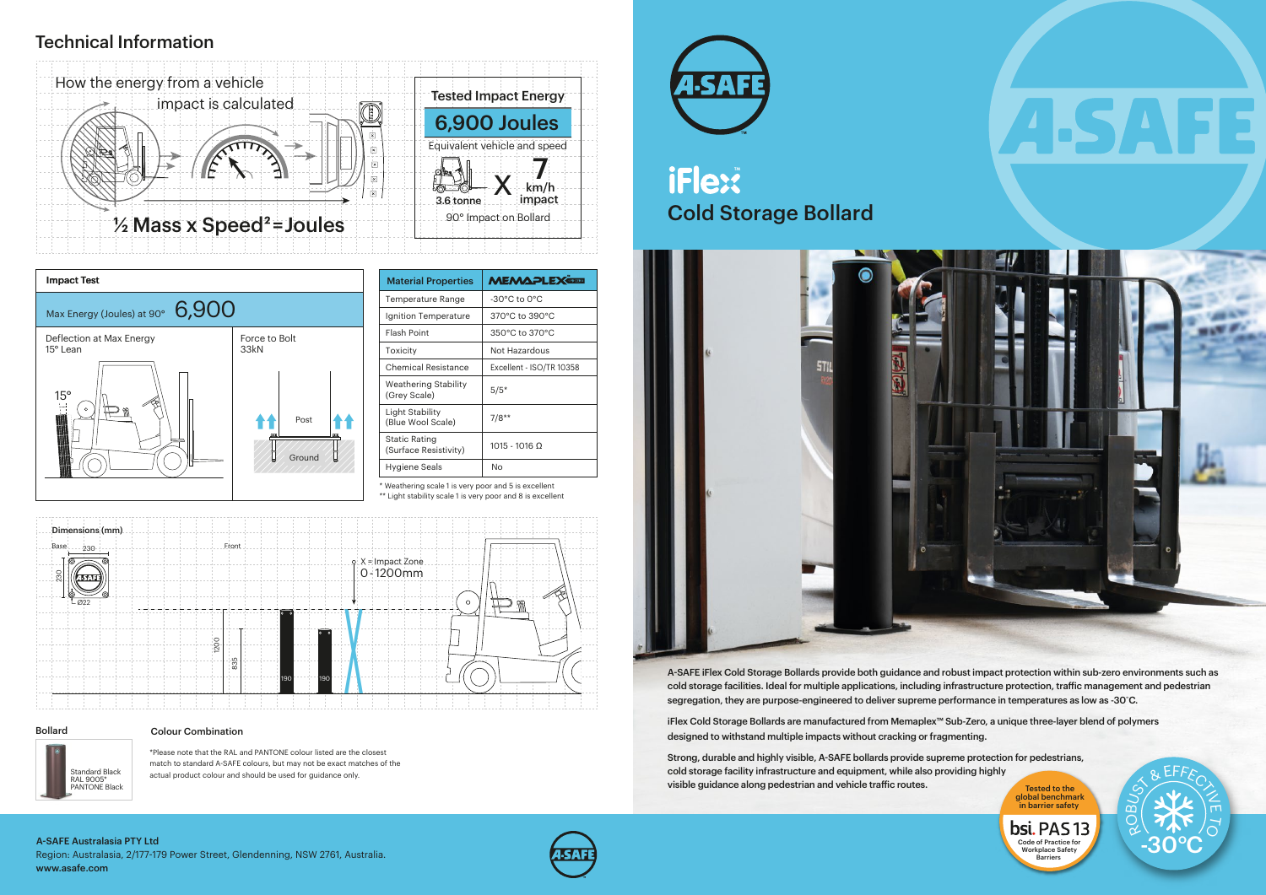RO

SO BEFFECT

# Cold Storage Bollard iFlex<sup>\*</sup>



-30°C

 $\widetilde{\circ}$ 

### Bollard

## Technical Information

\* Weathering scale 1 is very poor and 5 is excellent

\*\* Light stability scale 1 is very poor and 8 is excellent



| Dimensions (mm)<br>Base<br>$-230-$ | Front.             |                                        |
|------------------------------------|--------------------|----------------------------------------|
| ⊚<br>230<br><b>ISAT</b>            |                    | $0 \times$ = Impact Zone<br>0 - 1200mm |
| 022                                | l o                | $\circ$                                |
|                                    |                    |                                        |
|                                    | 1200<br>835<br>190 |                                        |
|                                    | 190                |                                        |

\*Please note that the RAL and PANTONE colour listed are the closest match to standard A-SAFE colours, but may not be exact matches of the actual product colour and should be used for guidance only.

| <b>Material Properties</b>                    | <b>MEMAPLEX</b>                    |
|-----------------------------------------------|------------------------------------|
| Temperature Range                             | $-30^{\circ}$ C to $0^{\circ}$ C   |
| Ignition Temperature                          | 370°C to 390°C                     |
| <b>Flash Point</b>                            | $350^{\circ}$ C to $370^{\circ}$ C |
| Toxicity                                      | Not Hazardous                      |
| Chemical Resistance                           | Excellent - ISO/TR 10358           |
| <b>Weathering Stability</b><br>(Grey Scale)   | $5/5*$                             |
| Light Stability<br>(Blue Wool Scale)          | $7/8**$                            |
| <b>Static Rating</b><br>(Surface Resistivity) | $1015 - 1016$ Ω                    |
| Hygiene Seals                                 | N٥                                 |



Strong, durable and highly visible, A-SAFE bollards provide supreme protection for pedestrians, cold storage facility infrastructure and equipment, while also providing highly visible guidance along pedestrian and vehicle traffic routes.

#### Colour Combination

Standard Black<br>RAL 9005\* PANTONE Black

global benchmark in barrier safety bsi. PAS 13

Code of Practice for Workplace Safety **Barriers** 



A-SAFE iFlex Cold Storage Bollards provide both guidance and robust impact protection within sub-zero environments such as cold storage facilities. Ideal for multiple applications, including infrastructure protection, traic management and pedestrian segregation, they are purpose-engineered to deliver supreme performance in temperatures as low as -30˚C.

iFlex Cold Storage Bollards are manufactured from Memaplex™ Sub-Zero, a unique three-layer blend of polymers designed to withstand multiple impacts without cracking or fragmenting.

Region: Australasia, 2/177-179 Power Street, Glendenning, NSW 2761, Australia. www.asafe.com A-SAFE Australasia PTY Ltd